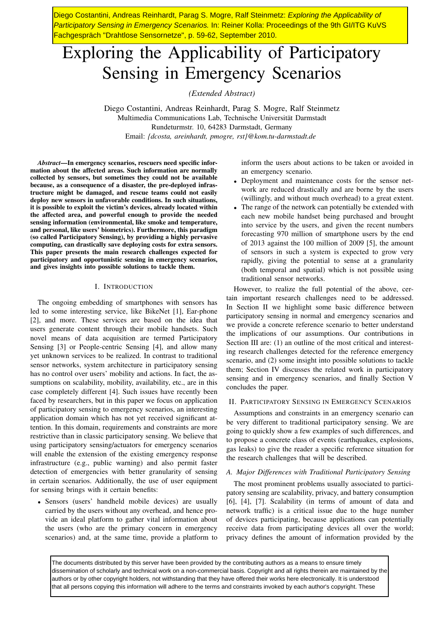Diego Costantini, Andreas Reinhardt, Parag S. Mogre, Ralf Steinmetz: *Exploring the Applicability of Participatory Sensing in Emergency Scenarios.* In: Reiner Kolla: Proceedings of the 9th GI/ITG KuVS Fachgespräch "Drahtlose Sensornetze", p. 59-62, September 2010.

# Exploring the Applicability of Participatory Sensing in Emergency Scenarios

*(Extended Abstract)*

Diego Costantini, Andreas Reinhardt, Parag S. Mogre, Ralf Steinmetz Multimedia Communications Lab, Technische Universität Darmstadt Rundeturmstr. 10, 64283 Darmstadt, Germany Email: *{dcosta, areinhardt, pmogre, rst}@kom.tu-darmstadt.de*

*Abstract*—In emergency scenarios, rescuers need specific information about the affected areas. Such information are normally collected by sensors, but sometimes they could not be available because, as a consequence of a disaster, the pre-deployed infrastructure might be damaged, and rescue teams could not easily deploy new sensors in unfavorable conditions. In such situations, it is possible to exploit the victim's devices, already located within the affected area, and powerful enough to provide the needed sensing information (environmental, like smoke and temperature, and personal, like users' biometrics). Furthermore, this paradigm (so called Participatory Sensing), by providing a highly pervasive computing, can drastically save deploying costs for extra sensors. This paper presents the main research challenges expected for participatory and opportunistic sensing in emergency scenarios, and gives insights into possible solutions to tackle them.

# I. INTRODUCTION

The ongoing embedding of smartphones with sensors has led to some interesting service, like BikeNet [1], Ear-phone [2], and more. These services are based on the idea that users generate content through their mobile handsets. Such novel means of data acquisition are termed Participatory Sensing [3] or People-centric Sensing [4], and allow many yet unknown services to be realized. In contrast to traditional sensor networks, system architecture in participatory sensing has no control over users' mobility and actions. In fact, the assumptions on scalability, mobility, availability, etc., are in this case completely different [4]. Such issues have recently been faced by researchers, but in this paper we focus on application of participatory sensing to emergency scenarios, an interesting application domain which has not yet received significant attention. In this domain, requirements and constraints are more restrictive than in classic participatory sensing. We believe that using participatory sensing/actuators for emergency scenarios will enable the extension of the existing emergency response infrastructure (e.g., public warning) and also permit faster detection of emergencies with better granularity of sensing in certain scenarios. Additionally, the use of user equipment for sensing brings with it certain benefits:

• Sensors (users' handheld mobile devices) are usually carried by the users without any overhead, and hence provide an ideal platform to gather vital information about the users (who are the primary concern in emergency scenarios) and, at the same time, provide a platform to inform the users about actions to be taken or avoided in an emergency scenario.

- Deployment and maintenance costs for the sensor network are reduced drastically and are borne by the users (willingly, and without much overhead) to a great extent.
- The range of the network can potentially be extended with each new mobile handset being purchased and brought into service by the users, and given the recent numbers forecasting 970 million of smartphone users by the end of 2013 against the 100 million of 2009 [5], the amount of sensors in such a system is expected to grow very rapidly, giving the potential to sense at a granularity (both temporal and spatial) which is not possible using traditional sensor networks.

However, to realize the full potential of the above, certain important research challenges need to be addressed. In Section II we highlight some basic difference between participatory sensing in normal and emergency scenarios and we provide a concrete reference scenario to better understand the implications of our assumptions. Our contributions in Section III are: (1) an outline of the most critical and interesting research challenges detected for the reference emergency scenario, and (2) some insight into possible solutions to tackle them; Section IV discusses the related work in participatory sensing and in emergency scenarios, and finally Section V concludes the paper.

# II. PARTICIPATORY SENSING IN EMERGENCY SCENARIOS

Assumptions and constraints in an emergency scenario can be very different to traditional participatory sensing. We are going to quickly show a few examples of such differences, and to propose a concrete class of events (earthquakes, explosions, gas leaks) to give the reader a specific reference situation for the research challenges that will be described.

## *A. Major Differences with Traditional Participatory Sensing*

The most prominent problems usually associated to participatory sensing are scalability, privacy, and battery consumption [6], [4], [7]. Scalability (in terms of amount of data and network traffic) is a critical issue due to the huge number of devices participating, because applications can potentially receive data from participating devices all over the world; privacy defines the amount of information provided by the

The documents distributed by this server have been provided by the contributing authors as a means to ensure timely dissemination of scholarly and technical work on a non-commercial basis. Copyright and all rights therein are maintained by the authors or by other copyright holders, not withstanding that they have offered their works here electronically. It is understood that all persons copying this information will adhere to the terms and constraints invoked by each author's copyright. These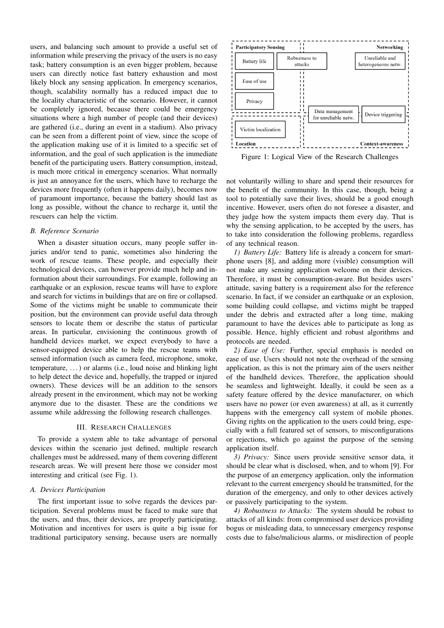users, and balancing such amount to provide a useful set of information while preserving the privacy of the users is no easy task; battery consumption is an even bigger problem, because users can directly notice fast battery exhaustion and most likely block any sensing application. In emergency scenarios, though, scalability normally has a reduced impact due to the locality characteristic of the scenario. However, it cannot be completely ignored, because there could be emergency situations where a high number of people (and their devices) are gathered (i.e., during an event in a stadium). Also privacy can be seen from a different point of view, since the scope of the application making use of it is limited to a specific set of information, and the goal of such application is the immediate benefit of the participating users. Battery consumption, instead, is much more critical in emergency scenarios. What normally is just an annoyance for the users, which have to recharge the devices more frequently (often it happens daily), becomes now of paramount importance, because the battery should last as long as possible, without the chance to recharge it, until the rescuers can help the victim.

# *B. Reference Scenario*

When a disaster situation occurs, many people suffer injuries and/or tend to panic, sometimes also hindering the work of rescue teams. These people, and especially their technological devices, can however provide much help and information about their surroundings. For example, following an earthquake or an explosion, rescue teams will have to explore and search for victims in buildings that are on fire or collapsed. Some of the victims might be unable to communicate their position, but the environment can provide useful data through sensors to locate them or describe the status of particular areas. In particular, envisioning the continuous growth of handheld devices market, we expect everybody to have a sensor-equipped device able to help the rescue teams with sensed information (such as camera feed, microphone, smoke, temperature, . . . ) or alarms (i.e., loud noise and blinking light to help detect the device and, hopefully, the trapped or injured owners). These devices will be an addition to the sensors already present in the environment, which may not be working anymore due to the disaster. These are the conditions we assume while addressing the following research challenges.

# III. RESEARCH CHALLENGES

To provide a system able to take advantage of personal devices within the scenario just defined, multiple research challenges must be addressed, many of them covering different research areas. We will present here those we consider most interesting and critical (see Fig. 1).

## *A. Devices Participation*

The first important issue to solve regards the devices participation. Several problems must be faced to make sure that the users, and thus, their devices, are properly participating. Motivation and incentives for users is quite a big issue for traditional participatory sensing, because users are normally



Figure 1: Logical View of the Research Challenges

not voluntarily willing to share and spend their resources for the benefit of the community. In this case, though, being a tool to potentially save their lives, should be a good enough incentive. However, users often do not foresee a disaster, and they judge how the system impacts them every day. That is why the sensing application, to be accepted by the users, has to take into consideration the following problems, regardless of any technical reason.

*1) Battery Life:* Battery life is already a concern for smartphone users [8], and adding more (visible) consumption will not make any sensing application welcome on their devices. Therefore, it must be consumption-aware. But besides users' attitude, saving battery is a requirement also for the reference scenario. In fact, if we consider an earthquake or an explosion, some building could collapse, and victims might be trapped under the debris and extracted after a long time, making paramount to have the devices able to participate as long as possible. Hence, highly efficient and robust algorithms and protocols are needed.

*2) Ease of Use:* Further, special emphasis is needed on ease of use. Users should not note the overhead of the sensing application, as this is not the primary aim of the users neither of the handheld devices. Therefore, the application should be seamless and lightweight. Ideally, it could be seen as a safety feature offered by the device manufacturer, on which users have no power (or even awareness) at all, as it currently happens with the emergency call system of mobile phones. Giving rights on the application to the users could bring, especially with a full featured set of sensors, to misconfigurations or rejections, which go against the purpose of the sensing application itself.

*3) Privacy:* Since users provide sensitive sensor data, it should be clear what is disclosed, when, and to whom [9]. For the purpose of an emergency application, only the information relevant to the current emergency should be transmitted, for the duration of the emergency, and only to other devices actively or passively participating to the system.

*4) Robustness to Attacks:* The system should be robust to attacks of all kinds: from compromised user devices providing bogus or misleading data, to unnecessary emergency response costs due to false/malicious alarms, or misdirection of people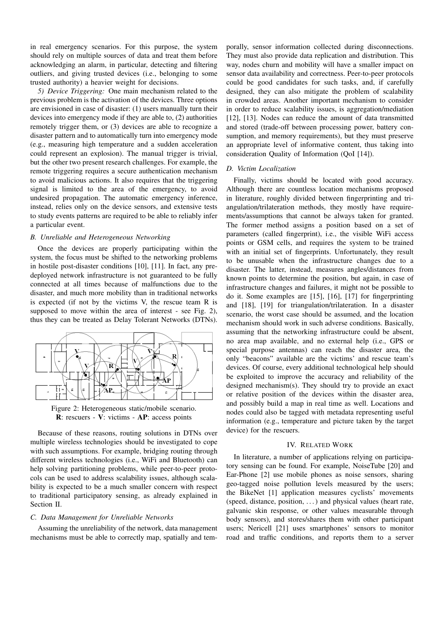in real emergency scenarios. For this purpose, the system should rely on multiple sources of data and treat them before acknowledging an alarm, in particular, detecting and filtering outliers, and giving trusted devices (i.e., belonging to some trusted authority) a heavier weight for decisions.

*5) Device Triggering:* One main mechanism related to the previous problem is the activation of the devices. Three options are envisioned in case of disaster: (1) users manually turn their devices into emergency mode if they are able to, (2) authorities remotely trigger them, or (3) devices are able to recognize a disaster pattern and to automatically turn into emergency mode (e.g., measuring high temperature and a sudden acceleration could represent an explosion). The manual trigger is trivial, but the other two present research challenges. For example, the remote triggering requires a secure authentication mechanism to avoid malicious actions. It also requires that the triggering signal is limited to the area of the emergency, to avoid undesired propagation. The automatic emergency inference, instead, relies only on the device sensors, and extensive tests to study events patterns are required to be able to reliably infer a particular event.

#### *B. Unreliable and Heterogeneous Networking*

Once the devices are properly participating within the system, the focus must be shifted to the networking problems in hostile post-disaster conditions [10], [11]. In fact, any predeployed network infrastructure is not guaranteed to be fully connected at all times because of malfunctions due to the disaster, and much more mobility than in traditional networks is expected (if not by the victims V, the rescue team R is supposed to move within the area of interest - see Fig. 2), thus they can be treated as Delay Tolerant Networks (DTNs).



Figure 2: Heterogeneous static/mobile scenario. R: rescuers - V: victims - AP: access points

Because of these reasons, routing solutions in DTNs over multiple wireless technologies should be investigated to cope with such assumptions. For example, bridging routing through different wireless technologies (i.e., WiFi and Bluetooth) can help solving partitioning problems, while peer-to-peer protocols can be used to address scalability issues, although scalability is expected to be a much smaller concern with respect to traditional participatory sensing, as already explained in Section II.

# *C. Data Management for Unreliable Networks*

Assuming the unreliability of the network, data management mechanisms must be able to correctly map, spatially and temporally, sensor information collected during disconnections. They must also provide data replication and distribution. This way, nodes churn and mobility will have a smaller impact on sensor data availability and correctness. Peer-to-peer protocols could be good candidates for such tasks, and, if carefully designed, they can also mitigate the problem of scalability in crowded areas. Another important mechanism to consider in order to reduce scalability issues, is aggregation/mediation [12], [13]. Nodes can reduce the amount of data transmitted and stored (trade-off between processing power, battery consumption, and memory requirements), but they must preserve an appropriate level of informative content, thus taking into consideration Quality of Information (QoI [14]).

## *D. Victim Localization*

Finally, victims should be located with good accuracy. Although there are countless location mechanisms proposed in literature, roughly divided between fingerprinting and triangulation/trilateration methods, they mostly have requirements/assumptions that cannot be always taken for granted. The former method assigns a position based on a set of parameters (called fingerprint), i.e., the visible WiFi access points or GSM cells, and requires the system to be trained with an initial set of fingerprints. Unfortunately, they result to be unusable when the infrastructure changes due to a disaster. The latter, instead, measures angles/distances from known points to determine the position, but again, in case of infrastructure changes and failures, it might not be possible to do it. Some examples are [15], [16], [17] for fingerprinting and [18], [19] for triangulation/trilateration. In a disaster scenario, the worst case should be assumed, and the location mechanism should work in such adverse conditions. Basically, assuming that the networking infrastructure could be absent, no area map available, and no external help (i.e., GPS or special purpose antennas) can reach the disaster area, the only "beacons" available are the victims' and rescue team's devices. Of course, every additional technological help should be exploited to improve the accuracy and reliability of the designed mechanism(s). They should try to provide an exact or relative position of the devices within the disaster area, and possibly build a map in real time as well. Locations and nodes could also be tagged with metadata representing useful information (e.g., temperature and picture taken by the target device) for the rescuers.

## IV. RELATED WORK

In literature, a number of applications relying on participatory sensing can be found. For example, NoiseTube [20] and Ear-Phone [2] use mobile phones as noise sensors, sharing geo-tagged noise pollution levels measured by the users; the BikeNet [1] application measures cyclists' movements (speed, distance, position, . . . ) and physical values (heart rate, galvanic skin response, or other values measurable through body sensors), and stores/shares them with other participant users; Nericell [21] uses smartphones' sensors to monitor road and traffic conditions, and reports them to a server